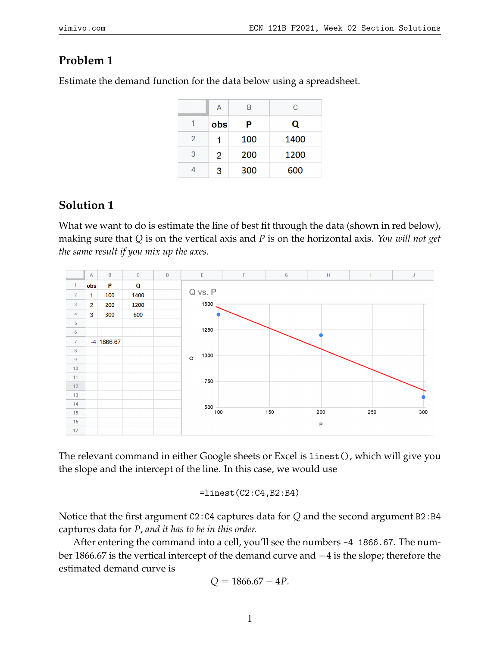## **Problem 1**

Estimate the demand function for the data below using a spreadsheet.

|                | A   | B   | C    |
|----------------|-----|-----|------|
| 1              | obs | Р   | Q    |
| $\overline{2}$ |     | 100 | 1400 |
| 3              | 2   | 200 | 1200 |
|                | 3   | 300 | 600  |

## **Solution 1**

What we want to do is estimate the line of best fit through the data (shown in red below), making sure that *Q* is on the vertical axis and *P* is on the horizontal axis. *You will not get the same result if you mix up the axes.*



The relevant command in either Google sheets or Excel is linest(), which will give you the slope and the intercept of the line. In this case, we would use

$$
\verb&=linest(C2:C4,B2:B4)\\
$$

Notice that the first argument C2:C4 captures data for *Q* and the second argument B2:B4 captures data for *P*, *and it has to be in this order.*

After entering the command into a cell, you'll see the numbers -4 1866.67. The number 1866.67 is the vertical intercept of the demand curve and −4 is the slope; therefore the estimated demand curve is

$$
Q = 1866.67 - 4P.
$$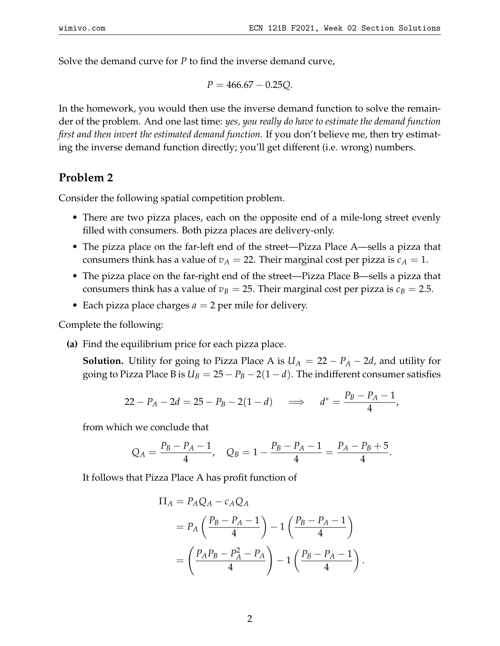Solve the demand curve for *P* to find the inverse demand curve,

$$
P = 466.67 - 0.25Q.
$$

In the homework, you would then use the inverse demand function to solve the remainder of the problem. And one last time: *yes, you really do have to estimate the demand function first and then invert the estimated demand function.* If you don't believe me, then try estimating the inverse demand function directly; you'll get different (i.e. wrong) numbers.

## **Problem 2**

Consider the following spatial competition problem.

- There are two pizza places, each on the opposite end of a mile-long street evenly filled with consumers. Both pizza places are delivery-only.
- The pizza place on the far-left end of the street—Pizza Place A—sells a pizza that consumers think has a value of  $v_A = 22$ . Their marginal cost per pizza is  $c_A = 1$ .
- The pizza place on the far-right end of the street—Pizza Place B—sells a pizza that consumers think has a value of  $v_B = 25$ . Their marginal cost per pizza is  $c_B = 2.5$ .
- Each pizza place charges  $a = 2$  per mile for delivery.

Complete the following:

**(a)** Find the equilibrium price for each pizza place.

**Solution.** Utility for going to Pizza Place A is  $U_A = 22 - P_A - 2d$ , and utility for going to Pizza Place B is  $U_B = 25 - P_B - 2(1 - d)$ . The indifferent consumer satisfies

$$
22 - P_A - 2d = 25 - P_B - 2(1 - d) \quad \implies \quad d^* = \frac{P_B - P_A - 1}{4},
$$

from which we conclude that

$$
Q_A = \frac{P_B - P_A - 1}{4}, \quad Q_B = 1 - \frac{P_B - P_A - 1}{4} = \frac{P_A - P_B + 5}{4}.
$$

It follows that Pizza Place A has profit function of

$$
\Pi_A = P_A Q_A - c_A Q_A
$$
  
=  $P_A \left( \frac{P_B - P_A - 1}{4} \right) - 1 \left( \frac{P_B - P_A - 1}{4} \right)$   
=  $\left( \frac{P_A P_B - P_A^2 - P_A}{4} \right) - 1 \left( \frac{P_B - P_A - 1}{4} \right)$ 

.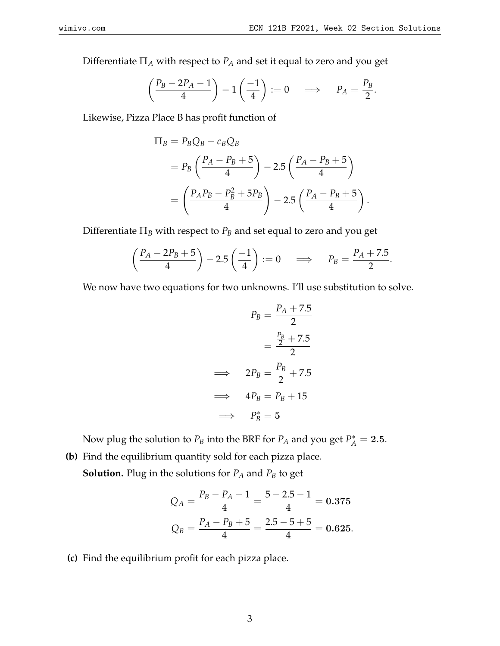Differentiate Π*<sup>A</sup>* with respect to *P<sup>A</sup>* and set it equal to zero and you get

$$
\left(\frac{P_B - 2P_A - 1}{4}\right) - 1\left(\frac{-1}{4}\right) := 0 \quad \Longrightarrow \quad P_A = \frac{P_B}{2}.
$$

Likewise, Pizza Place B has profit function of

$$
\Pi_B = P_B Q_B - c_B Q_B
$$
  
=  $P_B \left( \frac{P_A - P_B + 5}{4} \right) - 2.5 \left( \frac{P_A - P_B + 5}{4} \right)$   
=  $\left( \frac{P_A P_B - P_B^2 + 5P_B}{4} \right) - 2.5 \left( \frac{P_A - P_B + 5}{4} \right).$ 

Differentiate Π*<sup>B</sup>* with respect to *P<sup>B</sup>* and set equal to zero and you get

$$
\left(\frac{P_A - 2P_B + 5}{4}\right) - 2.5\left(\frac{-1}{4}\right) := 0 \quad \Longrightarrow \quad P_B = \frac{P_A + 7.5}{2}.
$$

We now have two equations for two unknowns. I'll use substitution to solve.

$$
P_B = \frac{P_A + 7.5}{2}
$$

$$
= \frac{\frac{P_B}{2} + 7.5}{2}
$$

$$
\implies 2P_B = \frac{P_B}{2} + 7.5
$$

$$
\implies 4P_B = P_B + 15
$$

$$
\implies P_B^* = 5
$$

Now plug the solution to  $P_B$  into the BRF for  $P_A$  and you get  $P_A^* = 2.5$ .

**(b)** Find the equilibrium quantity sold for each pizza place. **Solution.** Plug in the solutions for  $P_A$  and  $P_B$  to get

$$
Q_A = \frac{P_B - P_A - 1}{4} = \frac{5 - 2.5 - 1}{4} = 0.375
$$

$$
Q_B = \frac{P_A - P_B + 5}{4} = \frac{2.5 - 5 + 5}{4} = 0.625.
$$

**(c)** Find the equilibrium profit for each pizza place.